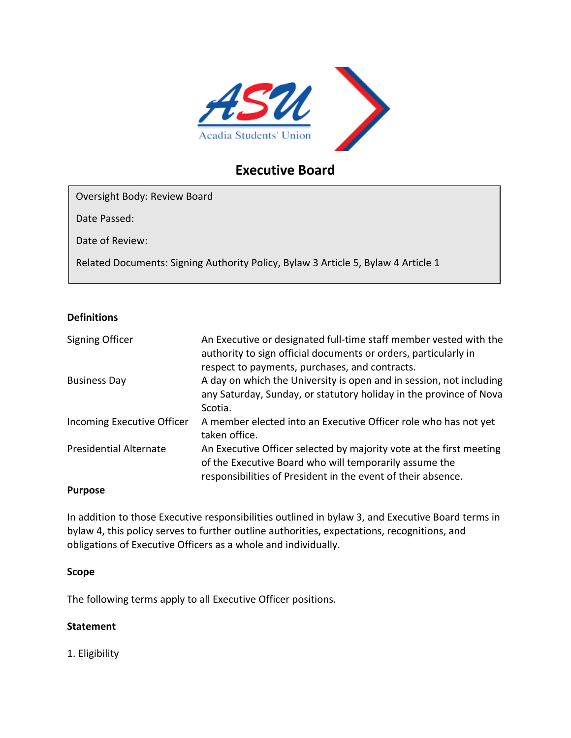

# **Executive Board**

Oversight Body: Review Board

Date Passed:

Date of Review:

Related Documents: Signing Authority Policy, Bylaw 3 Article 5, Bylaw 4 Article 1

# **Definitions**

| Signing Officer               | An Executive or designated full-time staff member vested with the<br>authority to sign official documents or orders, particularly in<br>respect to payments, purchases, and contracts.        |
|-------------------------------|-----------------------------------------------------------------------------------------------------------------------------------------------------------------------------------------------|
| <b>Business Day</b>           | A day on which the University is open and in session, not including<br>any Saturday, Sunday, or statutory holiday in the province of Nova<br>Scotia.                                          |
| Incoming Executive Officer    | A member elected into an Executive Officer role who has not yet<br>taken office.                                                                                                              |
| <b>Presidential Alternate</b> | An Executive Officer selected by majority vote at the first meeting<br>of the Executive Board who will temporarily assume the<br>responsibilities of President in the event of their absence. |

# **Purpose**

In addition to those Executive responsibilities outlined in bylaw 3, and Executive Board terms in bylaw 4, this policy serves to further outline authorities, expectations, recognitions, and obligations of Executive Officers as a whole and individually.

# **Scope**

The following terms apply to all Executive Officer positions.

# **Statement**

1. Eligibility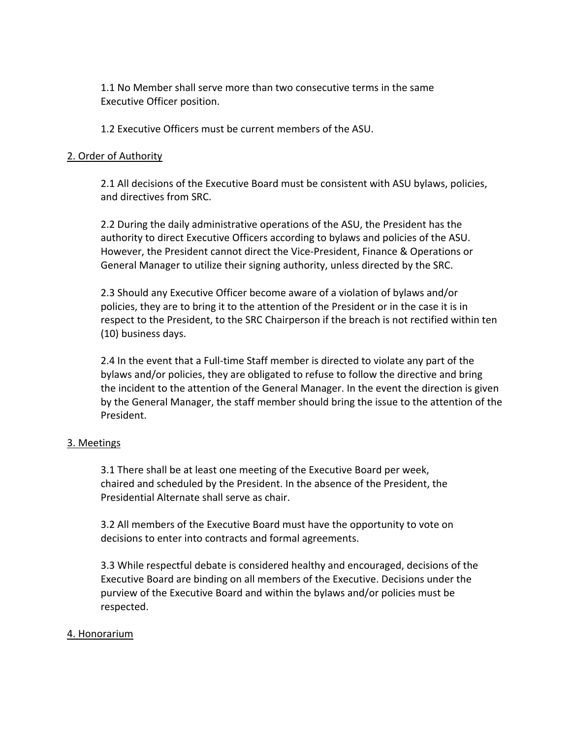1.1 No Member shall serve more than two consecutive terms in the same Executive Officer position.

1.2 Executive Officers must be current members of the ASU.

### 2. Order of Authority

2.1 All decisions of the Executive Board must be consistent with ASU bylaws, policies, and directives from SRC.

2.2 During the daily administrative operations of the ASU, the President has the authority to direct Executive Officers according to bylaws and policies of the ASU. However, the President cannot direct the Vice-President, Finance & Operations or General Manager to utilize their signing authority, unless directed by the SRC.

2.3 Should any Executive Officer become aware of a violation of bylaws and/or policies, they are to bring it to the attention of the President or in the case it is in respect to the President, to the SRC Chairperson if the breach is not rectified within ten (10) business days.

2.4 In the event that a Full-time Staff member is directed to violate any part of the bylaws and/or policies, they are obligated to refuse to follow the directive and bring the incident to the attention of the General Manager. In the event the direction is given by the General Manager, the staff member should bring the issue to the attention of the President.

#### 3. Meetings

3.1 There shall be at least one meeting of the Executive Board per week, chaired and scheduled by the President. In the absence of the President, the Presidential Alternate shall serve as chair.

3.2 All members of the Executive Board must have the opportunity to vote on decisions to enter into contracts and formal agreements.

3.3 While respectful debate is considered healthy and encouraged, decisions of the Executive Board are binding on all members of the Executive. Decisions under the purview of the Executive Board and within the bylaws and/or policies must be respected.

#### 4. Honorarium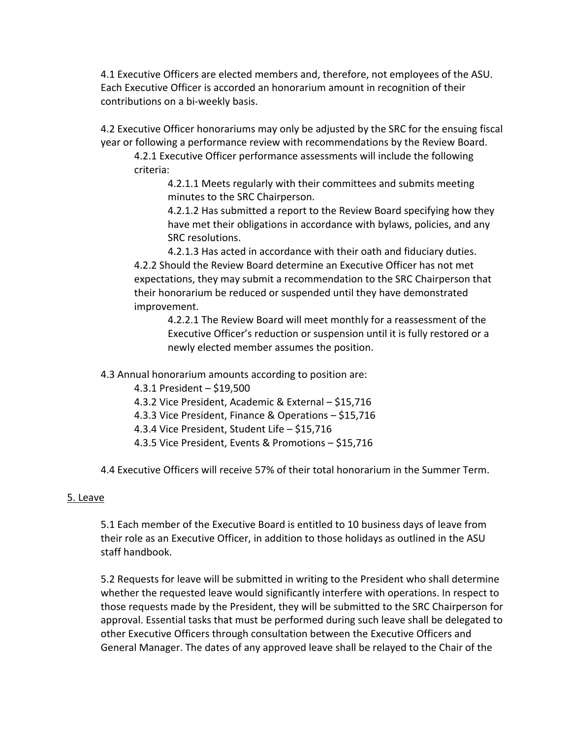4.1 Executive Officers are elected members and, therefore, not employees of the ASU. Each Executive Officer is accorded an honorarium amount in recognition of their contributions on a bi-weekly basis.

4.2 Executive Officer honorariums may only be adjusted by the SRC for the ensuing fiscal year or following a performance review with recommendations by the Review Board.

4.2.1 Executive Officer performance assessments will include the following criteria:

4.2.1.1 Meets regularly with their committees and submits meeting minutes to the SRC Chairperson.

4.2.1.2 Has submitted a report to the Review Board specifying how they have met their obligations in accordance with bylaws, policies, and any SRC resolutions.

4.2.1.3 Has acted in accordance with their oath and fiduciary duties. 4.2.2 Should the Review Board determine an Executive Officer has not met expectations, they may submit a recommendation to the SRC Chairperson that their honorarium be reduced or suspended until they have demonstrated improvement.

4.2.2.1 The Review Board will meet monthly for a reassessment of the Executive Officer's reduction or suspension until it is fully restored or a newly elected member assumes the position.

4.3 Annual honorarium amounts according to position are:

- 4.3.1 President \$19,500
- 4.3.2 Vice President, Academic & External \$15,716
- 4.3.3 Vice President, Finance & Operations \$15,716
- 4.3.4 Vice President, Student Life \$15,716
- 4.3.5 Vice President, Events & Promotions \$15,716

4.4 Executive Officers will receive 57% of their total honorarium in the Summer Term.

# 5. Leave

5.1 Each member of the Executive Board is entitled to 10 business days of leave from their role as an Executive Officer, in addition to those holidays as outlined in the ASU staff handbook.

5.2 Requests for leave will be submitted in writing to the President who shall determine whether the requested leave would significantly interfere with operations. In respect to those requests made by the President, they will be submitted to the SRC Chairperson for approval. Essential tasks that must be performed during such leave shall be delegated to other Executive Officers through consultation between the Executive Officers and General Manager. The dates of any approved leave shall be relayed to the Chair of the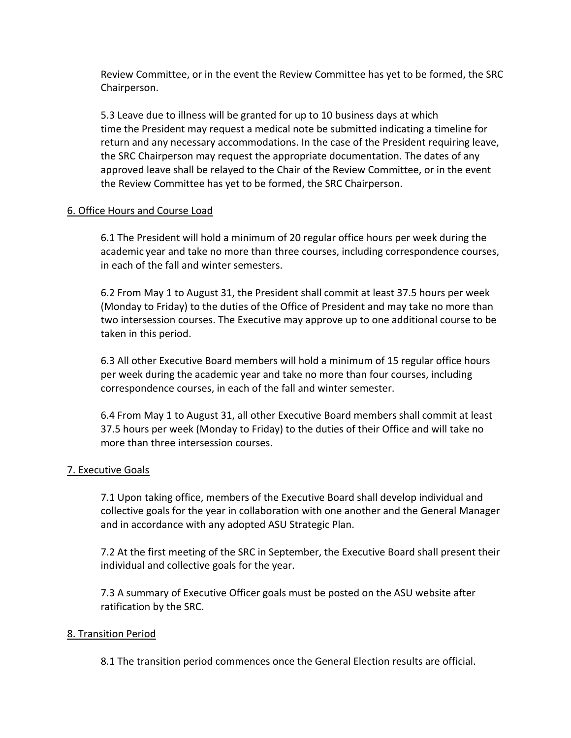Review Committee, or in the event the Review Committee has yet to be formed, the SRC Chairperson.

5.3 Leave due to illness will be granted for up to 10 business days at which time the President may request a medical note be submitted indicating a timeline for return and any necessary accommodations. In the case of the President requiring leave, the SRC Chairperson may request the appropriate documentation. The dates of any approved leave shall be relayed to the Chair of the Review Committee, or in the event the Review Committee has yet to be formed, the SRC Chairperson.

# 6. Office Hours and Course Load

6.1 The President will hold a minimum of 20 regular office hours per week during the academic year and take no more than three courses, including correspondence courses, in each of the fall and winter semesters.

6.2 From May 1 to August 31, the President shall commit at least 37.5 hours per week (Monday to Friday) to the duties of the Office of President and may take no more than two intersession courses. The Executive may approve up to one additional course to be taken in this period.

6.3 All other Executive Board members will hold a minimum of 15 regular office hours per week during the academic year and take no more than four courses, including correspondence courses, in each of the fall and winter semester.

6.4 From May 1 to August 31, all other Executive Board members shall commit at least 37.5 hours per week (Monday to Friday) to the duties of their Office and will take no more than three intersession courses.

# 7. Executive Goals

7.1 Upon taking office, members of the Executive Board shall develop individual and collective goals for the year in collaboration with one another and the General Manager and in accordance with any adopted ASU Strategic Plan.

7.2 At the first meeting of the SRC in September, the Executive Board shall present their individual and collective goals for the year.

7.3 A summary of Executive Officer goals must be posted on the ASU website after ratification by the SRC.

# 8. Transition Period

8.1 The transition period commences once the General Election results are official.